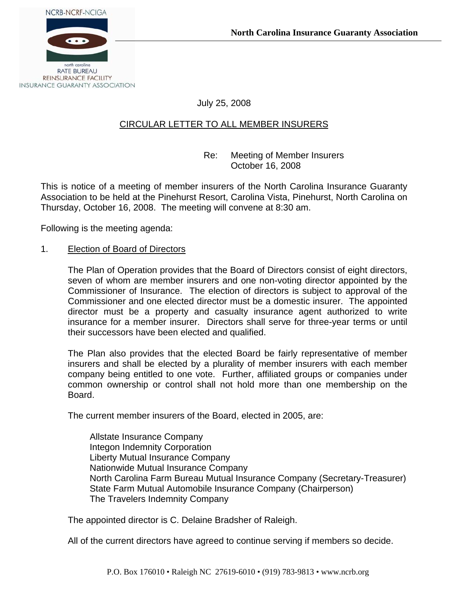July 25, 2008

# CIRCULAR LETTER TO ALL MEMBER INSURERS

 Re: Meeting of Member Insurers October 16, 2008

This is notice of a meeting of member insurers of the North Carolina Insurance Guaranty Association to be held at the Pinehurst Resort, Carolina Vista, Pinehurst, North Carolina on Thursday, October 16, 2008. The meeting will convene at 8:30 am.

Following is the meeting agenda:

#### 1. Election of Board of Directors

The Plan of Operation provides that the Board of Directors consist of eight directors, seven of whom are member insurers and one non-voting director appointed by the Commissioner of Insurance. The election of directors is subject to approval of the Commissioner and one elected director must be a domestic insurer. The appointed director must be a property and casualty insurance agent authorized to write insurance for a member insurer. Directors shall serve for three-year terms or until their successors have been elected and qualified.

The Plan also provides that the elected Board be fairly representative of member insurers and shall be elected by a plurality of member insurers with each member company being entitled to one vote. Further, affiliated groups or companies under common ownership or control shall not hold more than one membership on the Board.

The current member insurers of the Board, elected in 2005, are:

 Allstate Insurance Company Integon Indemnity Corporation Liberty Mutual Insurance Company Nationwide Mutual Insurance Company North Carolina Farm Bureau Mutual Insurance Company (Secretary-Treasurer) State Farm Mutual Automobile Insurance Company (Chairperson) The Travelers Indemnity Company

The appointed director is C. Delaine Bradsher of Raleigh.

All of the current directors have agreed to continue serving if members so decide.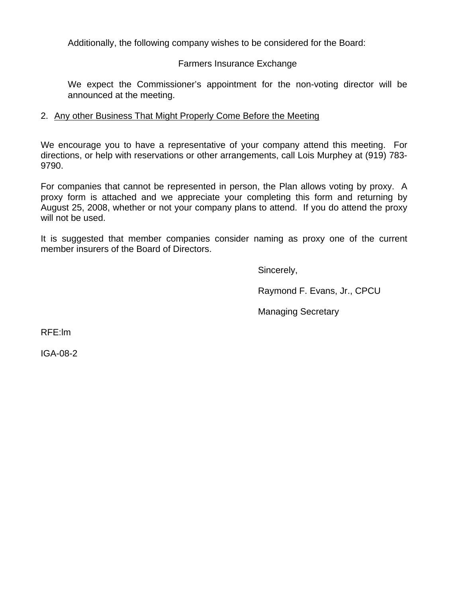Additionally, the following company wishes to be considered for the Board:

### Farmers Insurance Exchange

We expect the Commissioner's appointment for the non-voting director will be announced at the meeting.

## 2. Any other Business That Might Properly Come Before the Meeting

We encourage you to have a representative of your company attend this meeting. For directions, or help with reservations or other arrangements, call Lois Murphey at (919) 783- 9790.

For companies that cannot be represented in person, the Plan allows voting by proxy. A proxy form is attached and we appreciate your completing this form and returning by August 25, 2008, whether or not your company plans to attend. If you do attend the proxy will not be used.

It is suggested that member companies consider naming as proxy one of the current member insurers of the Board of Directors.

Sincerely,

Raymond F. Evans, Jr., CPCU

Managing Secretary

RFE:lm

IGA-08-2